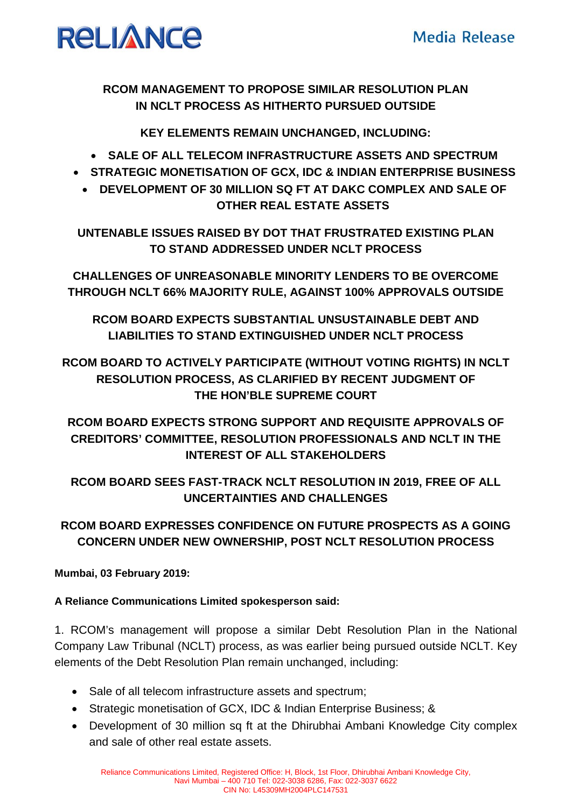# **RELIANCE**

**RCOM MANAGEMENT TO PROPOSE SIMILAR RESOLUTION PLAN IN NCLT PROCESS AS HITHERTO PURSUED OUTSIDE**

**KEY ELEMENTS REMAIN UNCHANGED, INCLUDING:**

- **SALE OF ALL TELECOM INFRASTRUCTURE ASSETS AND SPECTRUM**
- **STRATEGIC MONETISATION OF GCX, IDC & INDIAN ENTERPRISE BUSINESS**
	- **DEVELOPMENT OF 30 MILLION SQ FT AT DAKC COMPLEX AND SALE OF OTHER REAL ESTATE ASSETS**

**UNTENABLE ISSUES RAISED BY DOT THAT FRUSTRATED EXISTING PLAN TO STAND ADDRESSED UNDER NCLT PROCESS**

**CHALLENGES OF UNREASONABLE MINORITY LENDERS TO BE OVERCOME THROUGH NCLT 66% MAJORITY RULE, AGAINST 100% APPROVALS OUTSIDE**

**RCOM BOARD EXPECTS SUBSTANTIAL UNSUSTAINABLE DEBT AND LIABILITIES TO STAND EXTINGUISHED UNDER NCLT PROCESS**

**RCOM BOARD TO ACTIVELY PARTICIPATE (WITHOUT VOTING RIGHTS) IN NCLT RESOLUTION PROCESS, AS CLARIFIED BY RECENT JUDGMENT OF THE HON'BLE SUPREME COURT**

**RCOM BOARD EXPECTS STRONG SUPPORT AND REQUISITE APPROVALS OF CREDITORS' COMMITTEE, RESOLUTION PROFESSIONALS AND NCLT IN THE INTEREST OF ALL STAKEHOLDERS**

**RCOM BOARD SEES FAST-TRACK NCLT RESOLUTION IN 2019, FREE OF ALL UNCERTAINTIES AND CHALLENGES**

## **RCOM BOARD EXPRESSES CONFIDENCE ON FUTURE PROSPECTS AS A GOING CONCERN UNDER NEW OWNERSHIP, POST NCLT RESOLUTION PROCESS**

### **Mumbai, 03 February 2019:**

### **A Reliance Communications Limited spokesperson said:**

1. RCOM's management will propose a similar Debt Resolution Plan in the National Company Law Tribunal (NCLT) process, as was earlier being pursued outside NCLT. Key elements of the Debt Resolution Plan remain unchanged, including:

- Sale of all telecom infrastructure assets and spectrum;
- Strategic monetisation of GCX, IDC & Indian Enterprise Business; &
- Development of 30 million sq ft at the Dhirubhai Ambani Knowledge City complex and sale of other real estate assets.